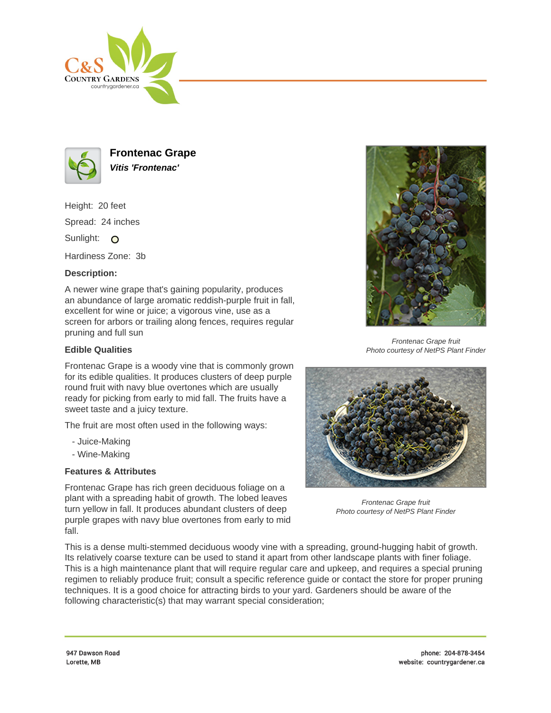



**Frontenac Grape Vitis 'Frontenac'**

Height: 20 feet Spread: 24 inches

Sunlight: O

Hardiness Zone: 3b

## **Description:**

A newer wine grape that's gaining popularity, produces an abundance of large aromatic reddish-purple fruit in fall, excellent for wine or juice; a vigorous vine, use as a screen for arbors or trailing along fences, requires regular pruning and full sun

## **Edible Qualities**

Frontenac Grape is a woody vine that is commonly grown for its edible qualities. It produces clusters of deep purple round fruit with navy blue overtones which are usually ready for picking from early to mid fall. The fruits have a sweet taste and a juicy texture.

The fruit are most often used in the following ways:

- Juice-Making
- Wine-Making

## **Features & Attributes**

Frontenac Grape has rich green deciduous foliage on a plant with a spreading habit of growth. The lobed leaves turn yellow in fall. It produces abundant clusters of deep purple grapes with navy blue overtones from early to mid fall.



Frontenac Grape fruit Photo courtesy of NetPS Plant Finder



Frontenac Grape fruit Photo courtesy of NetPS Plant Finder

This is a dense multi-stemmed deciduous woody vine with a spreading, ground-hugging habit of growth. Its relatively coarse texture can be used to stand it apart from other landscape plants with finer foliage. This is a high maintenance plant that will require regular care and upkeep, and requires a special pruning regimen to reliably produce fruit; consult a specific reference guide or contact the store for proper pruning techniques. It is a good choice for attracting birds to your yard. Gardeners should be aware of the following characteristic(s) that may warrant special consideration;